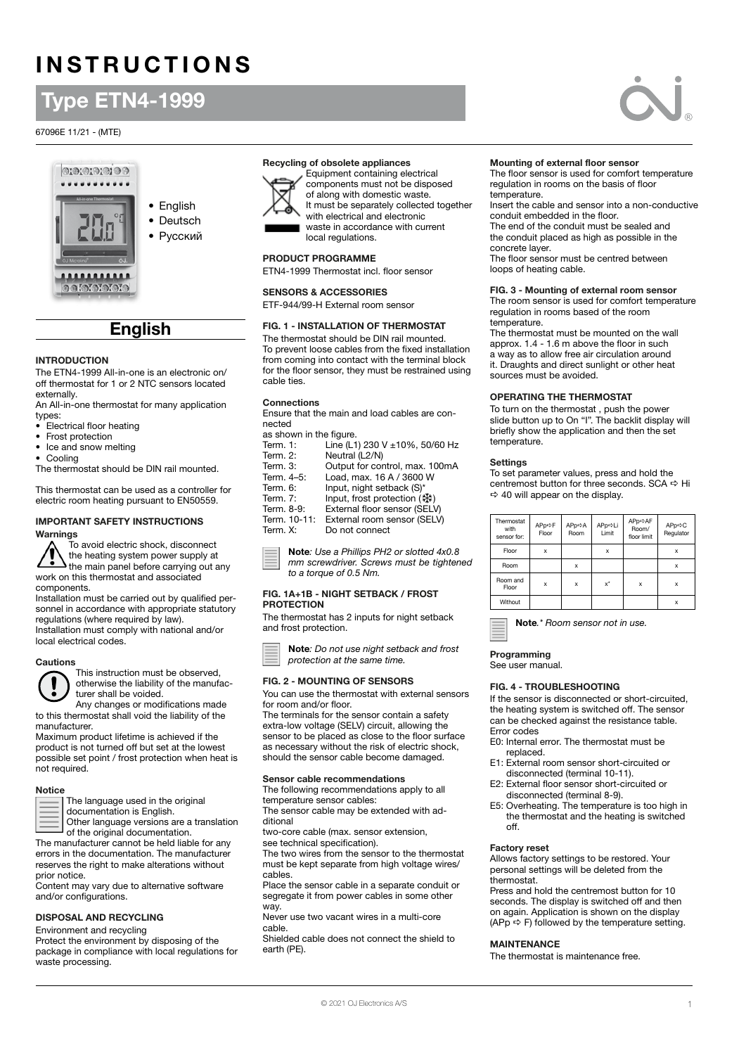# **INSTRUCTIONS**

# Type ETN4-1999

#### 67096E 11/21 - (MTE)



• English • Deutsch



# English

#### **INTRODUCTION**

The ETN4-1999 All-in-one is an electronic on/ off thermostat for 1 or 2 NTC sensors located externally.

An All-in-one thermostat for many application types:

- **Electrical floor heating**
- Frost protection
- Ice and snow melting
- **Cooling**

The thermostat should be DIN rail mounted.

This thermostat can be used as a controller for electric room heating pursuant to EN50559.

#### IMPORTANT SAFETY INSTRUCTIONS Warnings

To avoid electric shock, disconnect the heating system power supply at  $\Delta$  the main panel before carrying out any work on this thermostat and associated components.

Installation must be carried out by qualified personnel in accordance with appropriate statutory regulations (where required by law). Installation must comply with national and/or

local electrical codes.

#### **Cautions**



This instruction must be observed, otherwise the liability of the manufacturer shall be voided.

Any changes or modifications made to this thermostat shall void the liability of the manufacturer.

Maximum product lifetime is achieved if the product is not turned off but set at the lowest possible set point / frost protection when heat is not required.

#### **Notice**

The language used in the original

documentation is English.

Other language versions are a translation of the original documentation.

The manufacturer cannot be held liable for any errors in the documentation. The manufacturer reserves the right to make alterations without prior notice.

Content may vary due to alternative software and/or configurations.

#### DISPOSAL AND RECYCLING

Environment and recycling

Protect the environment by disposing of the package in compliance with local regulations for waste processing.

#### Recycling of obsolete appliances



Equipment containing electrical components must not be disposed of along with domestic waste.

It must be separately collected together with electrical and electronic waste in accordance with current local regulations.

#### PRODUCT PROGRAMME

ETN4-1999 Thermostat incl. floor sensor

#### SENSORS & ACCESSORIES

ETF-944/99-H External room sensor

#### FIG. 1 - INSTALLATION OF THERMOSTAT

The thermostat should be DIN rail mounted. To prevent loose cables from the fixed installation from coming into contact with the terminal block for the floor sensor, they must be restrained using cable ties.

# **Connections**

Ensure that the main and load cables are connected

- as shown in the figure.<br>Term. 1:  $\frac{1}{2}$  line (I)  $Line$  (L1) 230 V  $\pm$ 10%, 50/60 Hz Term. 2: Neutral (L2/N)
- Term. 3: Output for control, max. 100mA
- Term. 4–5: Load, max. 16 A / 3600 W
- Term. 6: Input, night setback (S)<sup>\*</sup><br>Term. 7: Input. frost protection (\*
- Term. 7: Input, frost protection (※)<br>Term. 8-9: External floor sensor (SEL)
- Term. 8-9: External floor sensor (SELV)<br>Term. 10-11: External room sensor (SELV)

Term. 10-11: External room sensor (SELV)<br>Term. X: Do not connect Do not connect

Note*: Use a Phillips PH2 or slotted 4x0.8 mm screwdriver. Screws must be tightened to a torque of 0.5 Nm.*

#### FIG. 1A+1B - NIGHT SETBACK / FROST PROTECTION

The thermostat has 2 inputs for night setback and frost protection.



#### FIG. 2 - MOUNTING OF SENSORS

You can use the thermostat with external sensors for room and/or floor.

The terminals for the sensor contain a safety extra-low voltage (SELV) circuit, allowing the sensor to be placed as close to the floor surface as necessary without the risk of electric shock, should the sensor cable become damaged.

#### Sensor cable recommendations

The following recommendations apply to all temperature sensor cables:

The sensor cable may be extended with additional

two-core cable (max. sensor extension,

see technical specification).

The two wires from the sensor to the thermostat must be kept separate from high voltage wires/ cables.

Place the sensor cable in a separate conduit or segregate it from power cables in some other way.

Never use two vacant wires in a multi-core cable.

Shielded cable does not connect the shield to earth (PE).

#### Mounting of external floor sensor

The floor sensor is used for comfort temperature regulation in rooms on the basis of floor temperature.

Insert the cable and sensor into a non-conductive conduit embedded in the floor.

The end of the conduit must be sealed and the conduit placed as high as possible in the concrete layer.

The floor sensor must be centred between loops of heating cable.

#### FIG. 3 - Mounting of external room sensor

The room sensor is used for comfort temperature regulation in rooms based of the room temperature.

The thermostat must be mounted on the wall approx. 1.4 - 1.6 m above the floor in such a way as to allow free air circulation around it. Draughts and direct sunlight or other heat sources must be avoided.

#### OPERATING THE THERMOSTAT

To turn on the thermostat , push the power slide button up to On "I". The backlit display will briefly show the application and then the set temperature.

#### **Settings**

To set parameter values, press and hold the centremost button for three seconds. SCA  $\Rightarrow$  Hi  $\Leftrightarrow$  40 will appear on the display.

| Thermostat<br>with<br>sensor for: | APp⇒F<br>Floor | APp⇔A<br>Room | APp⇔Li<br>Limit | APp⇔AF<br>Room/<br>floor limit | APp<br>$\heartsuit$ Regulator |
|-----------------------------------|----------------|---------------|-----------------|--------------------------------|-------------------------------|
| Floor                             | x              |               | x               |                                | x                             |
| Room                              |                | x             |                 |                                | x                             |
| Room and<br>Floor                 | X              | x             | $x^*$           | x                              | x                             |
| Without                           |                |               |                 |                                |                               |

Note*.\* Room sensor not in use.*

#### Programming

See user manual.

#### FIG. 4 - TROUBLESHOOTING

If the sensor is disconnected or short-circuited, the heating system is switched off. The sensor can be checked against the resistance table. Error codes

- E0: Internal error. The thermostat must be replaced.
- E1: External room sensor short-circuited or disconnected (terminal 10-11).
- E2: External floor sensor short-circuited or disconnected (terminal 8-9).
- E5: Overheating. The temperature is too high in the thermostat and the heating is switched off.

#### Factory reset

Allows factory settings to be restored. Your personal settings will be deleted from the .<br>thermostat.

Press and hold the centremost button for 10 seconds. The display is switched off and then on again. Application is shown on the display (APp  $\Rightarrow$  F) followed by the temperature setting.

#### MAINTENANCE

The thermostat is maintenance free.

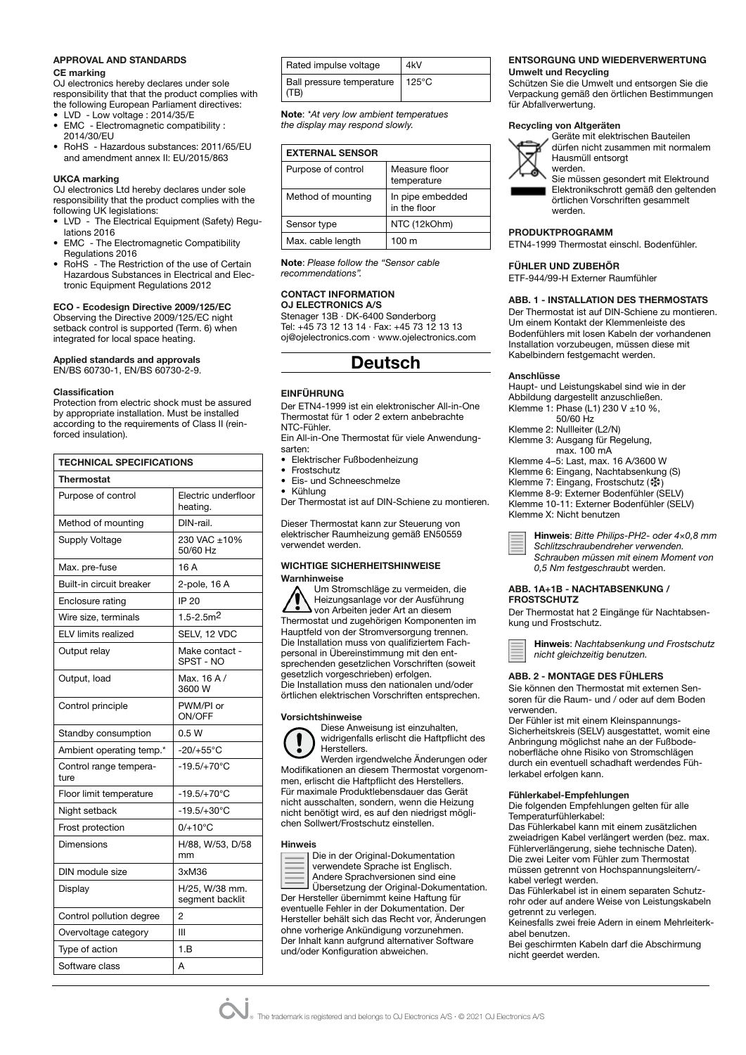#### APPROVAL AND STANDARDS CE marking

OJ electronics hereby declares under sole responsibility that that the product complies with the following European Parliament directives:

- LVD Low voltage : 2014/35/E • EMC - Electromagnetic compatibility :
- 2014/30/EU • RoHS - Hazardous substances: 2011/65/EU and amendment annex II: EU/2015/863

#### UKCA marking

OJ electronics Ltd hereby declares under sole responsibility that the product complies with the following UK legislations:

- LVD The Electrical Equipment (Safety) Regulations 2016
- EMC The Electromagnetic Compatibility Regulations 2016
- RoHS The Restriction of the use of Certain Hazardous Substances in Electrical and Electronic Equipment Regulations 2012

#### ECO - Ecodesign Directive 2009/125/EC

Observing the Directive 2009/125/EC night setback control is supported (Term. 6) when integrated for local space heating.

Applied standards and approvals EN/BS 60730-1, EN/BS 60730-2-9.

#### Classification

Protection from electric shock must be assured by appropriate installation. Must be installed according to the requirements of Class II (reinforced insulation).

| <b>TECHNICAL SPECIFICATIONS</b> |                                   |  |  |
|---------------------------------|-----------------------------------|--|--|
| <b>Thermostat</b>               |                                   |  |  |
| Purpose of control              | Electric underfloor<br>heating.   |  |  |
| Method of mounting              | DIN-rail.                         |  |  |
| Supply Voltage                  | 230 VAC ±10%<br>50/60 Hz          |  |  |
| Max. pre-fuse                   | 16 A                              |  |  |
| Built-in circuit breaker        | 2-pole, 16 A                      |  |  |
| Enclosure rating                | IP 20                             |  |  |
| Wire size, terminals            | $1.5 - 2.5$ m <sup>2</sup>        |  |  |
| <b>ELV limits realized</b>      | SELV, 12 VDC                      |  |  |
| Output relay                    | Make contact -<br>SPST - NO       |  |  |
| Output, load                    | Max. 16 A /<br>3600 W             |  |  |
| Control principle               | PWM/PI or<br>ON/OFF               |  |  |
| Standby consumption             | 0.5W                              |  |  |
| Ambient operating temp.*        | $-20/+55^{\circ}$ C               |  |  |
| Control range tempera-<br>ture  | $-19.5/+70°C$                     |  |  |
| Floor limit temperature         | $-19.5/+70°C$                     |  |  |
| Night setback                   | -19.5/+30°C                       |  |  |
| Frost protection                | $0/+10°C$                         |  |  |
| Dimensions                      | H/88, W/53, D/58<br>mm            |  |  |
| DIN module size                 | 3xM36                             |  |  |
| Display                         | H/25, W/38 mm.<br>segment backlit |  |  |
| Control pollution degree        | 2                                 |  |  |
| Overvoltage category            | Ш                                 |  |  |
| Type of action                  | 1.B                               |  |  |
| Software class                  | А                                 |  |  |

| Rated impulse voltage |                                   | 4kV |
|-----------------------|-----------------------------------|-----|
|                       | Ball pressure temperature   125°C |     |

Note: *\*At very low ambient temperatues the display may respond slowly.*

| <b>EXTERNAL SENSOR</b> |                                  |
|------------------------|----------------------------------|
| Purpose of control     | Measure floor<br>temperature     |
| Method of mounting     | In pipe embedded<br>in the floor |
| Sensor type            | NTC (12kOhm)                     |
| Max. cable length      | $100 \text{ m}$                  |

Note: *Please follow the "Sensor cable recommendations".*

#### CONTACT INFORMATION OJ ELECTRONICS A/S

Stenager 13B · DK-6400 Sønderborg

Tel: +45 73 12 13 14 · Fax: +45 73 12 13 13 oj@ojelectronics.com · www.ojelectronics.com

# Deutsch

### EINFÜHRUNG

Der ETN4-1999 ist ein elektronischer All-in-One Thermostat für 1 oder 2 extern anbebrachte NTC-Fühler.

Ein All-in-One Thermostat für viele Anwendungsarten:

- Elektrischer Fußbodenheizung
- **Frostschutz**
- Eis- und Schneeschmelze
- Kühlung

Der Thermostat ist auf DIN-Schiene zu montieren.

Dieser Thermostat kann zur Steuerung von elektrischer Raumheizung gemäß EN50559 verwendet werden.

#### WICHTIGE SICHERHEITSHINWEISE **Warnhinweise**

Um Stromschläge zu vermeiden, die Heizungsanlage vor der Ausführung von Arbeiten jeder Art an diesem Thermostat und zugehörigen Komponenten im Hauptfeld von der Stromversorgung trennen. Die Installation muss von qualifiziertem Fachpersonal in Übereinstimmung mit den entsprechenden gesetzlichen Vorschriften (soweit gesetzlich vorgeschrieben) erfolgen. Die Installation muss den nationalen und/oder örtlichen elektrischen Vorschriften entsprechen.

#### Vorsichtshinweise



Diese Anweisung ist einzuhalten, widrigenfalls erlischt die Haftpflicht des Herstellers.

Werden irgendwelche Änderungen oder Modifikationen an diesem Thermostat vorgenommen, erlischt die Haftpflicht des Herstellers. Für maximale Produktlebensdauer das Gerät nicht ausschalten, sondern, wenn die Heizung nicht benötigt wird, es auf den niedrigst möglichen Sollwert/Frostschutz einstellen.

#### Hinweis

Die in der Original-Dokumentation verwendete Sprache ist Englisch. Andere Sprachversionen sind eine Übersetzung der Original-Dokumentation. Der Hersteller übernimmt keine Haftung für eventuelle Fehler in der Dokumentation. Der Hersteller behält sich das Recht vor, Änderungen ohne vorherige Ankündigung vorzunehmen. Der Inhalt kann aufgrund alternativer Software und/oder Konfiguration abweichen.

#### ENTSORGUNG UND WIEDERVERWERTUNG Umwelt und Recycling

Schützen Sie die Umwelt und entsorgen Sie die Verpackung gemäß den örtlichen Bestimmungen für Abfallverwertung.

#### Recycling von Altgeräten



werden. Sie müssen gesondert mit Elektround

Elektronikschrott gemäß den geltenden örtlichen Vorschriften gesammelt werden.

#### PRODUKTPROGRAMM

ETN4-1999 Thermostat einschl. Bodenfühler.

#### FÜHLER UND ZUBEHÖR

ETF-944/99-H Externer Raumfühler

## ABB. 1 - INSTALLATION DES THERMOSTATS

Der Thermostat ist auf DIN-Schiene zu montieren. Um einem Kontakt der Klemmenleiste des Bodenfühlers mit losen Kabeln der vorhandenen Installation vorzubeugen, müssen diese mit Kabelbindern festgemacht werden.

#### Anschlüsse

Haupt- und Leistungskabel sind wie in der Abbildung dargestellt anzuschließen. Klemme 1: Phase (L1) 230 V  $\pm$ 10 %, 50/60 Hz

Klemme 2: Nullleiter (L2/N) Klemme 3: Ausgang für Regelung, max. 100 mA

Klemme 4–5: Last, max. 16 A/3600 W

Klemme 6: Eingang, Nachtabsenkung (S)

Klemme 7: Eingang, Frammat Francischutz<br>Klemme 7: Eingang, Frostschutz (ఘ\*)

Klemme 8-9: Externer Bodenfühler (SELV) Klemme 10-11: Externer Bodenfühler (SELV)

Klemme X: Nicht benutzen

Hinweis: *Bitte Philips-PH2- oder 4×0,8 mm Schlitzschraubendreher verwenden. Schrauben müssen mit einem Moment von 0,5 Nm festgeschraub*t werden.

#### ABB. 1A+1B - NACHTABSENKUNG / **FROSTSCHUTZ**

Der Thermostat hat 2 Eingänge für Nachtabsenkung und Frostschutz.

Hinweis: *Nachtabsenkung und Frostschutz nicht gleichzeitig benutzen.*

### ABB. 2 - MONTAGE DES FÜHLERS

Sie können den Thermostat mit externen Sensoren für die Raum- und / oder auf dem Boden verwenden.

Der Fühler ist mit einem Kleinspannungs-Sicherheitskreis (SELV) ausgestattet, womit eine Anbringung möglichst nahe an der Fußbodenoberfläche ohne Risiko von Stromschlägen durch ein eventuell schadhaft werdendes Fühlerkabel erfolgen kann.

#### Fühlerkabel-Empfehlungen

Die folgenden Empfehlungen gelten für alle Temperaturfühlerkabel:

Das Fühlerkabel kann mit einem zusätzlichen zweiadrigen Kabel verlängert werden (bez. max. Fühlerverlängerung, siehe technische Daten). Die zwei Leiter vom Fühler zum Thermostat müssen getrennt von Hochspannungsleitern/kabel verlegt werden.

Das Fühlerkabel ist in einem separaten Schutzrohr oder auf andere Weise von Leistungskabeln getrennt zu verlegen.

Keinesfalls zwei freie Adern in einem Mehrleiterkabel benutzen.

Bei geschirmten Kabeln darf die Abschirmung nicht geerdet werden.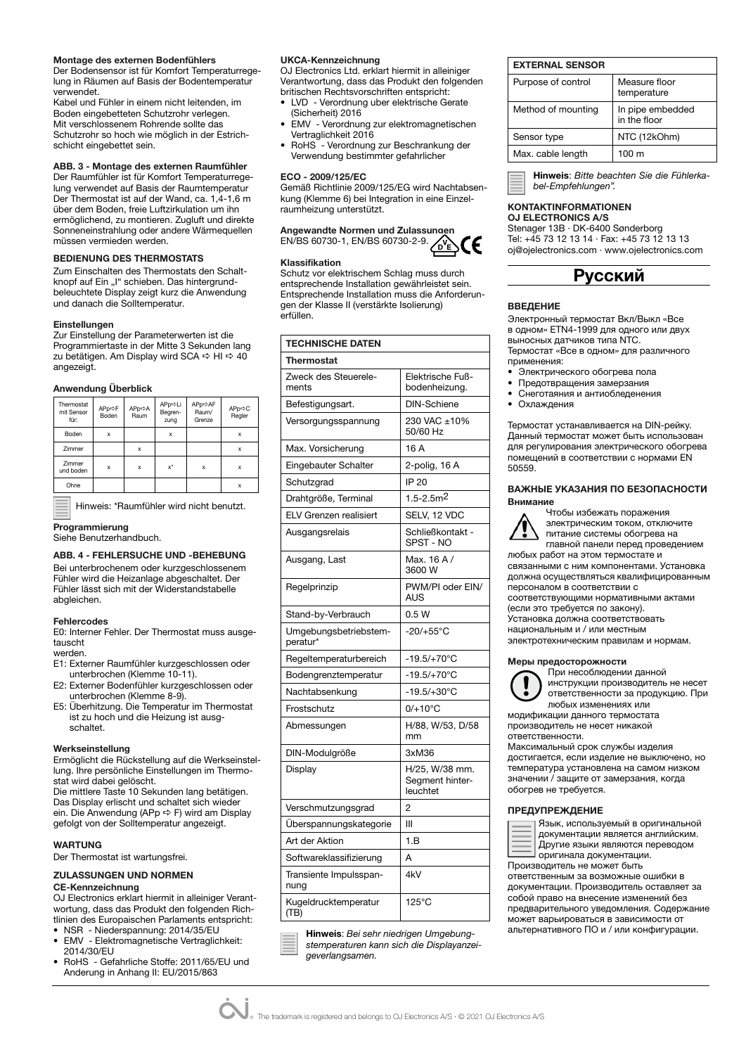#### Montage des externen Bodenfühlers

Der Bodensensor ist für Komfort Temperaturregelung in Räumen auf Basis der Bodentemperatur verwendet.

Kabel und Fühler in einem nicht leitenden, im Boden eingebetteten Schutzrohr verlegen. Mit verschlossenem Rohrende sollte das Schutzrohr so hoch wie möglich in der Estrichschicht eingebettet sein.

#### ABB. 3 - Montage des externen Raumfühler

Der Raumfühler ist für Komfort Temperaturregelung verwendet auf Basis der Raumtemperatur Der Thermostat ist auf der Wand, ca. 1,4-1,6 m über dem Boden, freie Luftzirkulation um ihn ermöglichend, zu montieren. Zugluft und direkte Sonneneinstrahlung oder andere Wärmequellen müssen vermieden werden.

#### BEDIENUNG DES THERMOSTATS

Zum Einschalten des Thermostats den Schaltknopf auf Ein "I" schieben. Das hintergrundbeleuchtete Display zeigt kurz die Anwendung und danach die Solltemperatur.

#### Einstellungen

Zur Einstellung der Parameterwerten ist die Programmiertaste in der Mitte 3 Sekunden lang zu betätigen. Am Display wird SCA  $\Rightarrow$  HI  $\Rightarrow$  40 angezeigt

#### Anwendung Überblick

| Thermostat<br>mit Sensor<br>für: | APp⇒F<br>Boden | APp⇔A<br>Raum | APp⇒Li<br>Begren-<br>zung | APp⇔AF<br>Raum/<br>Grenze | APp⇔C<br>Regler |
|----------------------------------|----------------|---------------|---------------------------|---------------------------|-----------------|
| Boden                            | X              |               | X                         |                           | x               |
| Zimmer                           |                | x             |                           |                           | x               |
| Zimmer<br>und boden              | X              | x             | $x^*$                     | x                         | x               |
| Ohne                             |                |               |                           |                           | X               |

Hinweis: \*Raumfühler wird nicht benutzt.

Programmierung

Siehe Benutzerhandbuch.

#### ABB. 4 - FEHLERSUCHE UND -BEHEBUNG

Bei unterbrochenem oder kurzgeschlossenem Fühler wird die Heizanlage abgeschaltet. Der Fühler lässt sich mit der Widerstandstabelle abgleichen.

#### Fehlercodes

E0: Interner Fehler. Der Thermostat muss ausgetauscht

werden.

- E1: Externer Raumfühler kurzgeschlossen oder unterbrochen (Klemme 10-11).
- E2: Externer Bodenfühler kurzgeschlossen oder unterbrochen (Klemme 8-9).
- E5: Überhitzung. Die Temperatur im Thermostat ist zu hoch und die Heizung ist ausgschaltet.

#### Werkseinstellung

Ermöglicht die Rückstellung auf die Werkseinstellung. Ihre persönliche Einstellungen im Thermostat wird dabei gelöscht.

Die mittlere Taste 10 Sekunden lang betätigen. Das Display erlischt und schaltet sich wieder ein. Die Anwendung (APp  $\Rightarrow$  F) wird am Display gefolgt von der Solltemperatur angezeigt.

#### WARTUNG

#### Der Thermostat ist wartungsfrei.

#### ZULASSUNGEN UND NORMEN

#### CE-Kennzeichnung

OJ Electronics erklart hiermit in alleiniger Verantwortung, dass das Produkt den folgenden Richtlinien des Europaischen Parlaments entspricht:

- NSR Niederspannung: 2014/35/EU
- EMV Elektromagnetische Vertraglichkeit: 2014/30/EU
- RoHS Gefahrliche Stoffe: 2011/65/EU und Anderung in Anhang II: EU/2015/863

#### UKCA-Kennzeichnung

OJ Electronics Ltd. erklart hiermit in alleiniger Verantwortung, dass das Produkt den folgenden britischen Rechtsvorschriften entspricht:

- LVD Verordnung uber elektrische Gerate (Sicherheit) 2016
- EMV Verordnung zur elektromagnetischen Vertraglichkeit 2016
- RoHS Verordnung zur Beschrankung der Verwendung bestimmter gefahrlicher

#### ECO - 2009/125/EC

Gemäß Richtlinie 2009/125/EG wird Nachtabsenkung (Klemme 6) bei Integration in eine Einzelraumheizung unterstützt.

Angewandte Normen und Zulassungen EN/BS 60730-1, EN/BS 60730-2-9.

#### Klassifikation

Schutz vor elektrischem Schlag muss durch entsprechende Installation gewährleistet sein. Entsprechende Installation muss die Anforderungen der Klasse II (verstärkte Isolierung) erfüllen.

| <b>TECHNISCHE DATEN</b>           |                                               |
|-----------------------------------|-----------------------------------------------|
| <b>Thermostat</b>                 |                                               |
| Zweck des Steuerele-<br>ments     | Elektrische Fuß-<br>bodenheizung.             |
| Befestigungsart.                  | <b>DIN-Schiene</b>                            |
| Versorgungsspannung               | 230 VAC ±10%<br>50/60 Hz                      |
| Max. Vorsicherung                 | 16 A                                          |
| Eingebauter Schalter              | 2-polig, 16 A                                 |
| Schutzgrad                        | <b>IP 20</b>                                  |
| Drahtgröße, Terminal              | $1.5 - 2.5$ m <sup>2</sup>                    |
| <b>ELV Grenzen realisiert</b>     | SELV, 12 VDC                                  |
| Ausgangsrelais                    | Schließkontakt -<br>SPST - NO                 |
| Ausgang, Last                     | Max. 16 A /<br>3600 W                         |
| Regelprinzip                      | PWM/PI oder EIN/<br>AUS                       |
| Stand-by-Verbrauch                | 0.5W                                          |
| Umgebungsbetriebstem-<br>peratur* | $-20/+55°C$                                   |
| Regeltemperaturbereich            | $-19.5/+70°C$                                 |
| Bodengrenztemperatur              | $-19.5/+70°C$                                 |
| Nachtabsenkung                    | $-19.5/+30°C$                                 |
| Frostschutz                       | $0/+10°C$                                     |
| Abmessungen                       | H/88, W/53, D/58<br>mm                        |
| DIN-Modulgröße                    | 3xM36                                         |
| Display                           | H/25, W/38 mm.<br>Segment hinter-<br>leuchtet |
| Verschmutzungsgrad                | 2                                             |
| Überspannungskategorie            | Ш                                             |
| Art der Aktion                    | 1.B                                           |
| Softwareklassifizierung           | Α                                             |
| Transiente Impulsspan-<br>nung    | 4kV                                           |
| Kugeldrucktemperatur<br>(TB)      | $125^{\circ}$ C                               |

Hinweis: *Bei sehr niedrigen Umgebungstemperaturen kann sich die Displayanzeigeverlangsamen.*

### EXTERNAL SENSOR

| Purpose of control | Measure floor<br>temperature     |  |
|--------------------|----------------------------------|--|
| Method of mounting | In pipe embedded<br>in the floor |  |
| Sensor type        | NTC (12kOhm)                     |  |
| Max. cable length  | 100 $m$                          |  |



#### KONTAKTINFORMATIONEN

OJ ELECTRONICS A/S Stenager 13B · DK-6400 Sønderborg Tel: +45 73 12 13 14 · Fax: +45 73 12 13 13 oj@ojelectronics.com · www.ojelectronics.com



#### ВВЕДЕНИЕ

Электронный термостат Вкл/Выкл «Все в одном» ETN4-1999 для одного или двух выносных датчиков типа NTC. Термостат «Все в одном» для различного применения:

- Электрического обогрева пола
- Предотвращения замерзания
- Снеготаяния и антиобледенения
- Охлаждения

Термостат устанавливается на DIN-рейку. Данный термостат может быть использован для регулирования электрического обогрева помещений в соответствии с нормами EN 50559.

#### ВАЖНЫЕ УКАЗАНИЯ ПО БЕЗОПАСНОСТИ Внимание Чтобы избежать поражения



электрическим током, отключите питание системы обогрева на главной панели перед проведением

любых работ на этом термостате и связанными с ним компонентами. Установка должна осуществляться квалифицированным персоналом в соответствии с соответствующими нормативными актами

(если это требуется по закону). Установка должна соответствовать

национальным и / или местным электротехническим правилам и нормам.

#### Меры предосторожности



При несоблюдении данной инструкции производитель не несет ответственности за продукцию. При любых изменениях или

модификации данного термостата производитель не несет никакой ответственности.

Максимальный срок службы изделия достигается, если изделие не выключено, но температура установлена на самом низком значении / защите от замерзания, когда обогрев не требуется.

#### ПРЕДУПРЕЖДЕНИЕ

Язык, используемый в оригинальной документации является английским.

- . .<br>Другие языки являются переводом
- оригинала документации.

Производитель не может быть

ответственным за возможные ошибки в документации. Производитель оставляет за собой право на внесение изменений без предварительного уведомления. Содержание может варьироваться в зависимости от альтернативного ПО и / или конфигурации.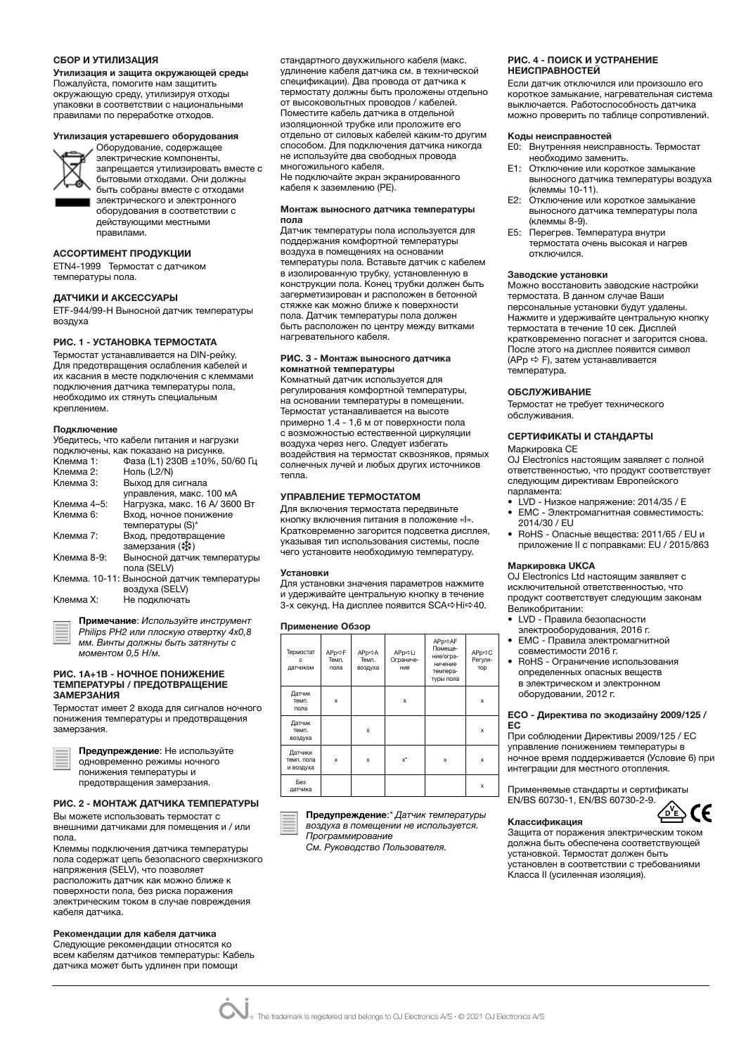#### СБОР И УТИЛИЗАЦИЯ

Утилизация и защита окружающей среды Пожалуйста, помогите нам защитить окружающую среду, утилизируя отходы упаковки в соответствии с национальными правилами по переработке отходов.

### Утилизация устаревшего оборудования



Оборудование, содержащее электрические компоненты, запрещается утилизировать вместе с бытовыми отходами. Они должны быть собраны вместе с отходами электрического и электронного оборудования в соответствии с действующими местными

# правилами. АССОРТИМЕНТ ПРОДУКЦИИ

ETN4-1999 Термостат с датчиком температуры пола.

#### ДАТЧИКИ И АКСЕССУАРЫ

. .<br>ETF-944/99-Н Выносной датчик температуры воздуха

#### РИС. 1 - УСТАНОВКА ТЕРМОСТАТА

Термостат устанавливается на DIN-рейку. Для предотвращения ослабления кабелей и их касания в месте подключения с клеммами подключения датчика температуры пола, необходимо их стянуть специальным креплением.

#### Подключение

| Убедитесь, что кабели питания и нагрузки   |  |  |  |  |
|--------------------------------------------|--|--|--|--|
| подключены, как показано на рисунке.       |  |  |  |  |
| Фаза (L1) 230B ±10%, 50/60 Гц              |  |  |  |  |
| Ноль (L2/N)                                |  |  |  |  |
| Выход для сигнала                          |  |  |  |  |
| управления, макс. 100 мА                   |  |  |  |  |
| Нагрузка, макс. 16 A/ 3600 Вт              |  |  |  |  |
| Вход, ночное понижение                     |  |  |  |  |
| температуры (S)*                           |  |  |  |  |
| Вход, предотвращение                       |  |  |  |  |
| замерзания (※)                             |  |  |  |  |
| Выносной датчик температуры                |  |  |  |  |
| пола (SELV)                                |  |  |  |  |
| Клемма. 10-11: Выносной датчик температуры |  |  |  |  |
| воздуха (SELV)                             |  |  |  |  |
| Не подключать                              |  |  |  |  |
|                                            |  |  |  |  |

Примечание: *Используйте инструмент Philips PH2 или плоскую отвертку 4х0,8 мм. Винты должны быть затянуты с моментом 0,5 Н/м.* 

#### РИС. 1A+1B - НОЧНОЕ ПОНИЖЕНИЕ ТЕМПЕРАТУРЫ / ПРЕДОТВРАЩЕНИЕ ЗАМЕРЗАНИЯ

Термостат имеет 2 входа для сигналов ночного понижения температуры и предотвращения замерзания.



#### РИС. 2 - МОНТАЖ ДАТЧИКА ТЕМПЕРАТУРЫ

Вы можете использовать термостат с внешними датчиками для помещения и / или пола.

Клеммы подключения датчика температуры пола содержат цепь безопасного сверхнизкого напряжения (SELV), что позволяет расположить датчик как можно ближе к поверхности пола, без риска поражения электрическим током в случае повреждения кабеля датчика.

# Рекомендации для кабеля датчика

Следующие рекомендации относятся ко всем кабелям датчиков температуры: Кабель датчика может быть удлинен при помощи

стандартного двухжильного кабеля (макс. удлинение кабеля датчика см. в технической спецификации). Два провода от датчика к термостату должны быть проложены отдельно от высоковольтных проводов / кабелей. Поместите кабель датчика в отдельной изоляционной трубке или проложите его отдельно от силовых кабелей каким-то другим способом. Для подключения датчика никогда не используйте два свободных провода многожильного кабеля. Не подключайте экран экранированного

кабеля к заземлению (PE).

#### Монтаж выносного датчика температуры пола

Датчик температуры пола используется для поддержания комфортной температуры воздуха в помещениях на основании температуры пола. Вставьте датчик с кабелем в изолированную трубку, установленную в конструкции пола. Конец трубки должен быть загерметизирован и расположен в бетонной стяжке как можно ближе к поверхности пола. Датчик температуры пола должен быть расположен по центру между витками нагревательного кабеля.

#### РИС. 3 - Монтаж выносного датчика комнатной температуры

Комнатный датчик используется для регулирования комфортной температуры, на основании температуры в помещении. Термостат устанавливается на высоте примерно 1.4 - 1,6 м от поверхности пола с возможностью естественной циркуляции воздуха через него. Следует избегать воздействия на термостат сквозняков, прямых солнечных лучей и любых других источников тепла.

#### УПРАВЛЕНИЕ ТЕРМОСТАТОМ

Для включения термостата передвиньте кнопку включения питания в положение «I». Кратковременно загорится подсветка дисплея, указывая тип использования системы, после чего установите необходимую температуру.

#### Установки

Для установки значения параметров нажмите и удерживайте центральную кнопку в течение 3-х секунд. На дисплее появится SCA⇒Ні⇒40.

#### Применение Обзор

| Термостат<br>c<br>датчиком         | APp⇒F<br>Темп.<br>пола | APp⇒A<br>Темп.<br>воздуха | APp⇒Li<br>Ограниче-<br>ние | APp⇒AF<br>Помеще-<br>ние/огра-<br>ничение<br>темпера-<br>туры пола | APp⇒C<br>Регуля-<br>тор |
|------------------------------------|------------------------|---------------------------|----------------------------|--------------------------------------------------------------------|-------------------------|
| Датчик<br>темп.<br>пола            | x                      |                           | x                          |                                                                    | x                       |
| Датчик<br>темп.<br>воздуха         |                        | x                         |                            |                                                                    | x                       |
| Датчики<br>темп, пола<br>и воздуха | X                      | x                         | $x^*$                      | x                                                                  | x                       |
| Без<br>датчика                     |                        |                           |                            |                                                                    | x                       |

Предупреждение:*\* Датчик температуры воздуха в помещении не используется. Программирование См. Руководство Пользователя.* 

#### РИС. 4 - ПОИСК И УСТРАНЕНИЕ НЕИСПРАВНОСТЕЙ

Если датчик отключился или произошло его короткое замыкание, нагревательная система выключается. Работоспособность датчика можно проверить по таблице сопротивлений.

#### Коды неисправностей

- E0: Внутренняя неисправность. Термостат необходимо заменить.
- E1: Отключение или короткое замыкание выносного датчика температуры воздуха (клеммы 10-11).
- E2: Отключение или короткое замыкание выносного датчика температуры пола (клеммы 8-9).
- E5: Перегрев. Температура внутри термостата очень высокая и нагрев отключился.

#### Заводские установки

Можно восстановить заводские настройки термостата. В данном случае Ваши персональные установки будут удалены. Нажмите и удерживайте центральную кнопку термостата в течение 10 сек. Дисплей кратковременно погаснет и загорится снова. После этого на дисплее появится символ (АРр <> F), затем устанавливается температура.

#### ОБСЛУЖИВАНИЕ

Термостат не требует технического обслуживания.

#### СЕРТИФИКАТЫ И СТАНДАРТЫ

#### Маркировка CE

OJ Electronics настоящим заявляет с полной ответственностью, что продукт соответствует следующим директивам Европейского парламента:

- LVD Низкое напряжение: 2014/35 / E
- EMC Электромагнитная совместимость: 2014/30 / EU
- RoHS Опасные вещества: 2011/65 / EU и приложение II с поправками: EU / 2015/863

#### Маркировка UKCA

OJ Electronics Ltd настоящим заявляет с исключительной ответственностью, что продукт соответствует следующим законам Великобритании:

- LVD Правила безопасности электрооборудования, 2016 г.
- ЕМС Правила электромагнитной совместимости 2016 г.
- RoHS Ограничение использования определенных опасных веществ в электрическом и электронном оборудовании, 2012 г.

#### ECO - Директива по экодизайну 2009/125 / EC

При соблюдении Директивы 2009/125 / EC управление понижением температуры в ночное время поддерживается (Условие 6) при интеграции для местного отопления.

Применяемые стандарты и сертификаты EN/BS 60730-1, EN/BS 60730-2-9.

#### Классификация



Защита от поражения электрическим током должна быть обеспечена соответствующей установкой. Термостат должен быть установлен в соответствии с требованиями Класса II (усиленная изоляция).

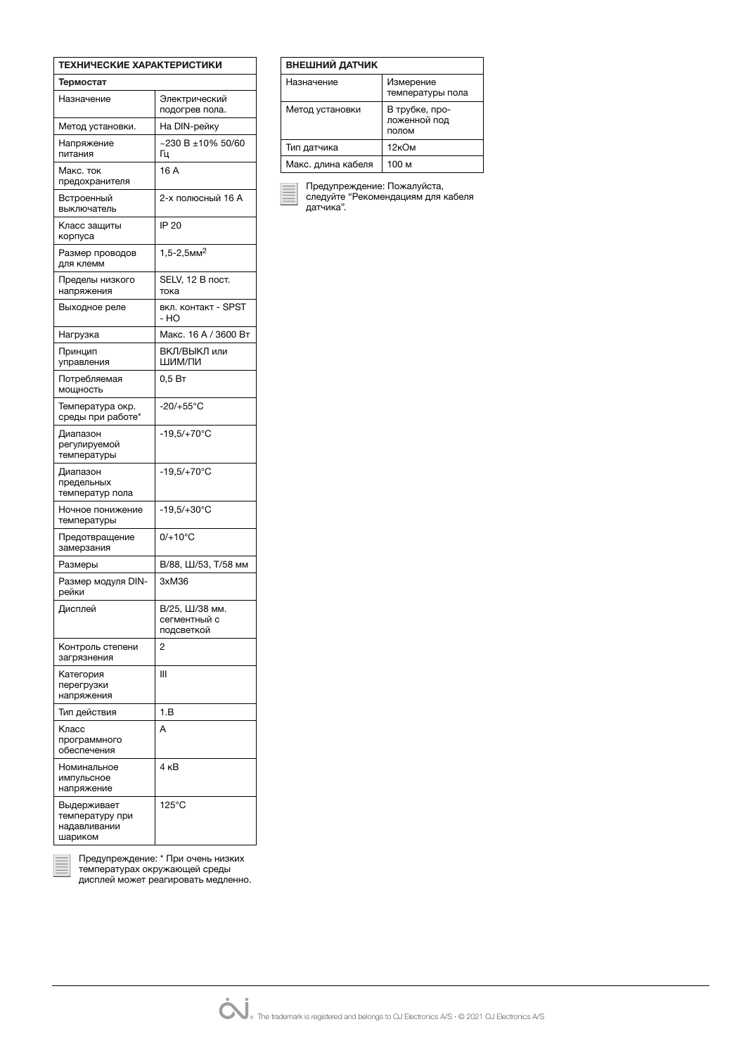| ТЕХНИЧЕСКИЕ ХАРАКТЕРИСТИКИ                                |                                              |  |  |
|-----------------------------------------------------------|----------------------------------------------|--|--|
| Термостат                                                 |                                              |  |  |
| Назначение                                                | Электрический<br>подогрев пола.              |  |  |
| Метод установки.                                          | На DIN-рейку                                 |  |  |
| Напряжение<br>питания                                     | $\sim$ 230 B ±10% 50/60<br>Гц                |  |  |
| Макс. ток<br>предохранителя                               | 16 A                                         |  |  |
| Встроенный<br>выключатель                                 | 2-х полюсный 16 А                            |  |  |
| Класс защиты<br>корпуса                                   | IP 20                                        |  |  |
| Размер проводов<br>для клемм                              | 1,5-2,5мм <sup>2</sup>                       |  |  |
| Пределы низкого<br>напряжения                             | SELV, 12 B пост.<br>тока                     |  |  |
| Выходное реле                                             | вкл. контакт - SPST<br>- НО                  |  |  |
| Нагрузка                                                  | Макс. 16 А / 3600 Вт                         |  |  |
| Принцип<br>управления                                     | ВКЛ/ВЫКЛ или<br>ШИМ/ПИ                       |  |  |
| Потребляемая<br>МОЩНОСТЬ                                  | 0.5B                                         |  |  |
| Температура окр.<br>среды при работе*                     | $-20/+55°C$                                  |  |  |
| Диапазон<br>регулируемой<br>температуры                   | $-19,5/+70°C$                                |  |  |
| Диапазон<br>предельных<br>температур пола                 | $-19,5/+70°C$                                |  |  |
| Ночное понижение<br>температуры                           | $-19,5/+30°C$                                |  |  |
| Предотвращение<br>замерзания                              | $0/+10°C$                                    |  |  |
| Размеры                                                   | В/88, Ш/53, Т/58 мм                          |  |  |
| Размер модуля DIN-<br>рейки                               | 3xM36                                        |  |  |
| Дисплей                                                   | В/25, Ш/38 мм.<br>сегментныи с<br>подсветкой |  |  |
| Контроль степени<br>загрязнения                           | 2                                            |  |  |
| Категория<br>перегрузки<br>напряжения                     | Ш                                            |  |  |
| Тип действия                                              | 1.B                                          |  |  |
| Класс<br>программного<br>обеспечения                      | Α                                            |  |  |
| Номинальное<br>импульсное<br>напряжение                   | 4 KB                                         |  |  |
| Выдерживает<br>температуру при<br>надавливании<br>шариком | 125°C                                        |  |  |

Предупреждение: \* При очень низких температурах окружающей среды дисплей может реагировать медленно.

Ċ

ВНЕШНИЙ ЛАТЧИК

| ВНЕШНИЙ ДАІЧИК     |                                         |
|--------------------|-----------------------------------------|
| Назначение         | Измерение<br>температуры пола           |
| Метод установки    | В трубке, про-<br>ложенной под<br>полом |
| Тип датчика        | 12 <sub>KOM</sub>                       |
| Макс. длина кабеля | 100 м                                   |

Предупреждение: Пожалуйста,

следуйте "Рекомендациям для кабеля датчика".

The trademark is registered and belongs to OJ Electronics A/S  $\cdot$  © 2021 OJ Electronics A/S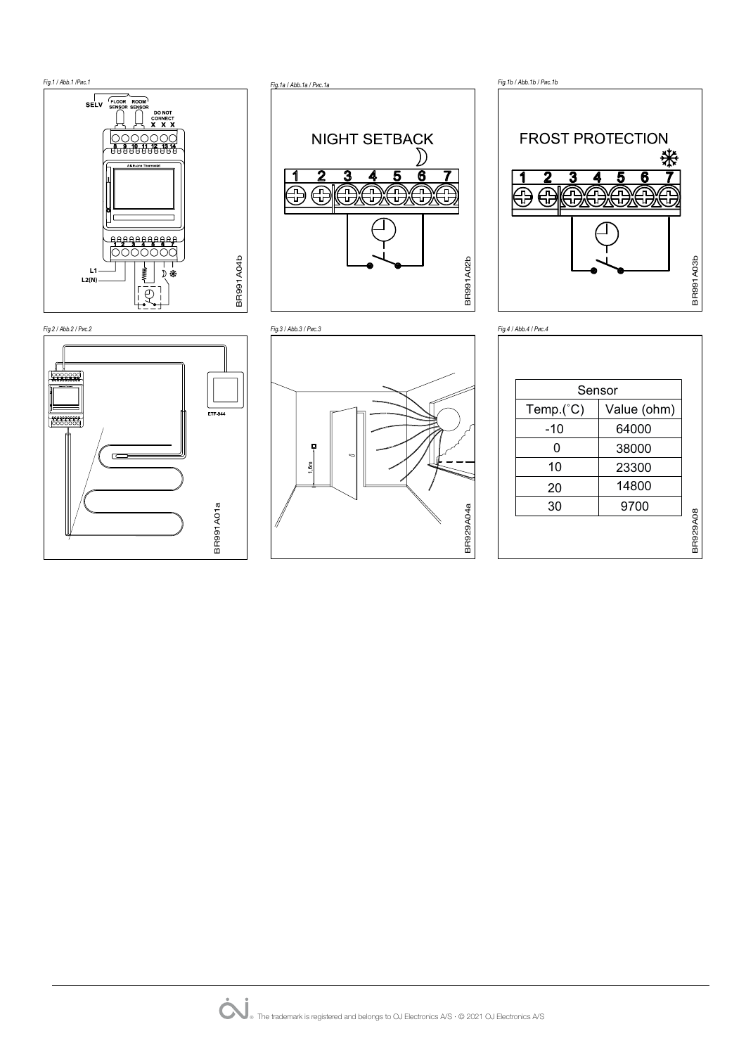

BR991A03b

BR929A08

**BR929A08** 

BR929A08

楽

╬

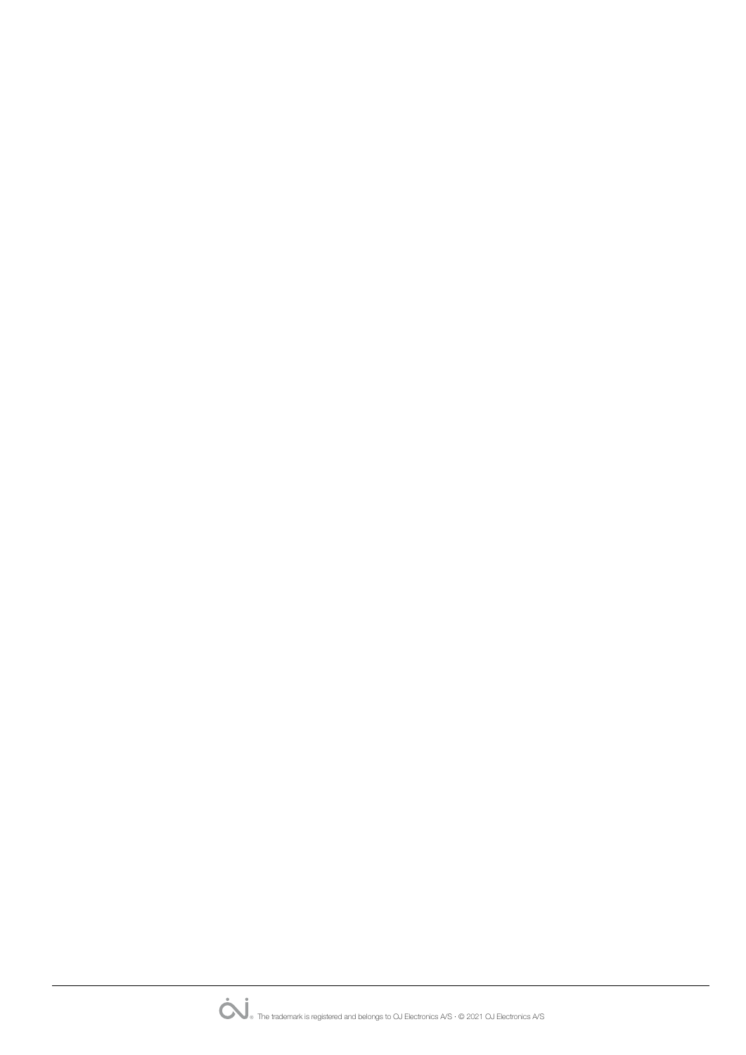